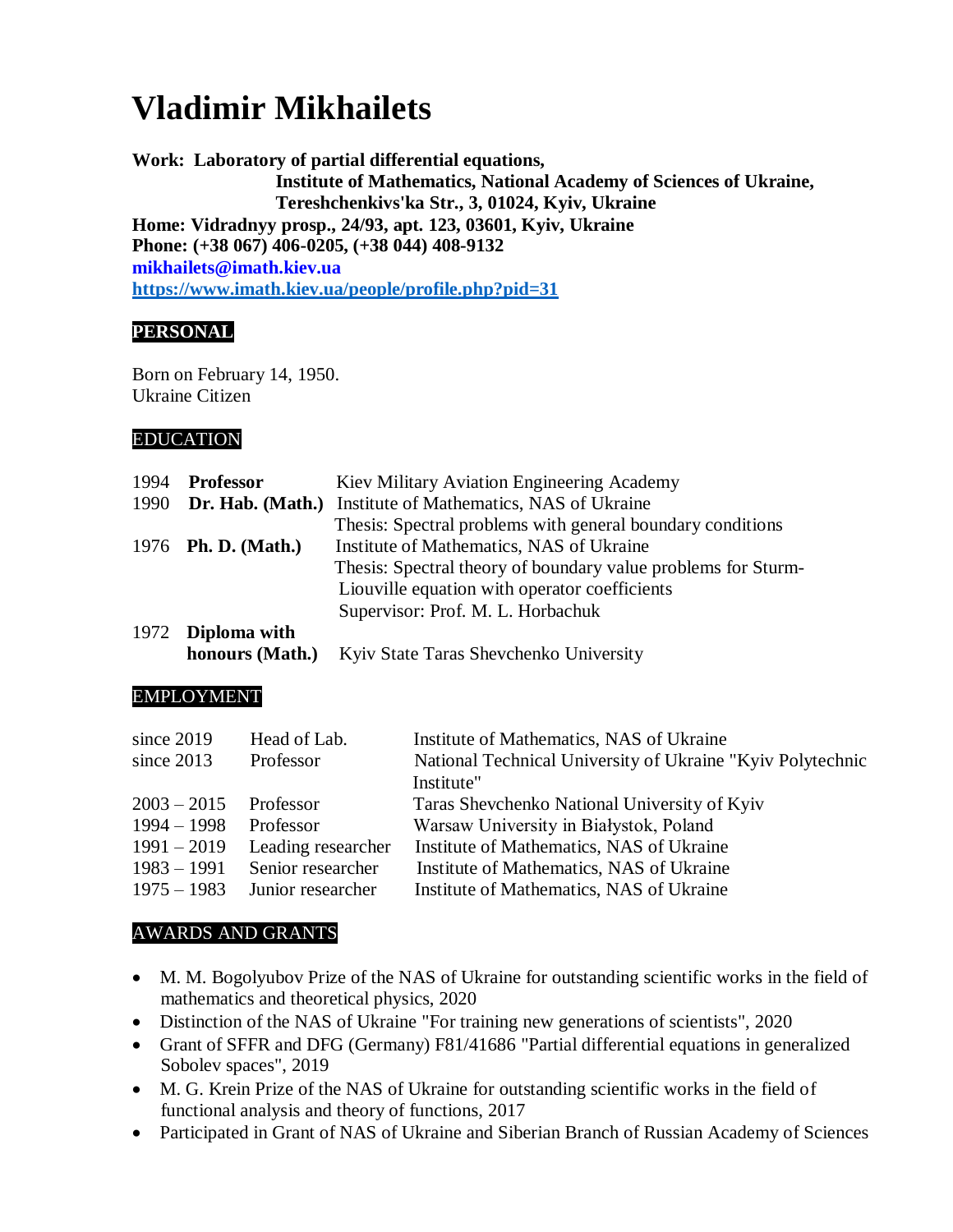# **Vladimir Mikhailets**

**Work: Laboratory of partial differential equations, Institute of Mathematics, National Academy of Sciences of Ukraine, Tereshchenkivs'ka Str., 3, 01024, Kyiv, Ukraine Home: Vidradnyy prosp., 24/93, apt. 123, 03601, Kyiv, Ukraine Phone: (+38 067) 406-0205, (+38 044) 408-9132 mikhailets@imath.kiev.ua <https://www.imath.kiev.ua/people/profile.php?pid=31>**

## **PERSONAL**

Born on February 14, 1950. Ukraine Citizen

## EDUCATION

| 1994 | <b>Professor</b>           | Kiev Military Aviation Engineering Academy                    |  |
|------|----------------------------|---------------------------------------------------------------|--|
| 1990 | Dr. Hab. (Math.)           | Institute of Mathematics, NAS of Ukraine                      |  |
|      |                            | Thesis: Spectral problems with general boundary conditions    |  |
|      | 1976 <b>Ph. D.</b> (Math.) | Institute of Mathematics, NAS of Ukraine                      |  |
|      |                            | Thesis: Spectral theory of boundary value problems for Sturm- |  |
|      |                            | Liouville equation with operator coefficients                 |  |
|      |                            | Supervisor: Prof. M. L. Horbachuk                             |  |
|      | 1972 Diploma with          |                                                               |  |
|      | honours (Math.)            | Kyiv State Taras Shevchenko University                        |  |

## EMPLOYMENT

| since 2019    | Head of Lab.       | Institute of Mathematics, NAS of Ukraine                   |
|---------------|--------------------|------------------------------------------------------------|
| since $2013$  | Professor          | National Technical University of Ukraine "Kyiv Polytechnic |
|               |                    | Institute"                                                 |
| $2003 - 2015$ | Professor          | Taras Shevchenko National University of Kyiv               |
| $1994 - 1998$ | Professor          | Warsaw University in Białystok, Poland                     |
| $1991 - 2019$ | Leading researcher | Institute of Mathematics, NAS of Ukraine                   |
| $1983 - 1991$ | Senior researcher  | Institute of Mathematics, NAS of Ukraine                   |
| $1975 - 1983$ | Junior researcher  | Institute of Mathematics, NAS of Ukraine                   |

## AWARDS AND GRANTS

- M. M. Bogolyubov Prize of the NAS of Ukraine for outstanding scientific works in the field of mathematics and theoretical physics, 2020
- Distinction of the NAS of Ukraine "For training new generations of scientists", 2020
- Grant of SFFR and DFG (Germany) F81/41686 "Partial differential equations in generalized Sobolev spaces", 2019
- M. G. Krein Prize of the NAS of Ukraine for outstanding scientific works in the field of functional analysis and theory of functions, 2017
- Participated in Grant of NAS of Ukraine and Siberian Branch of Russian Academy of Sciences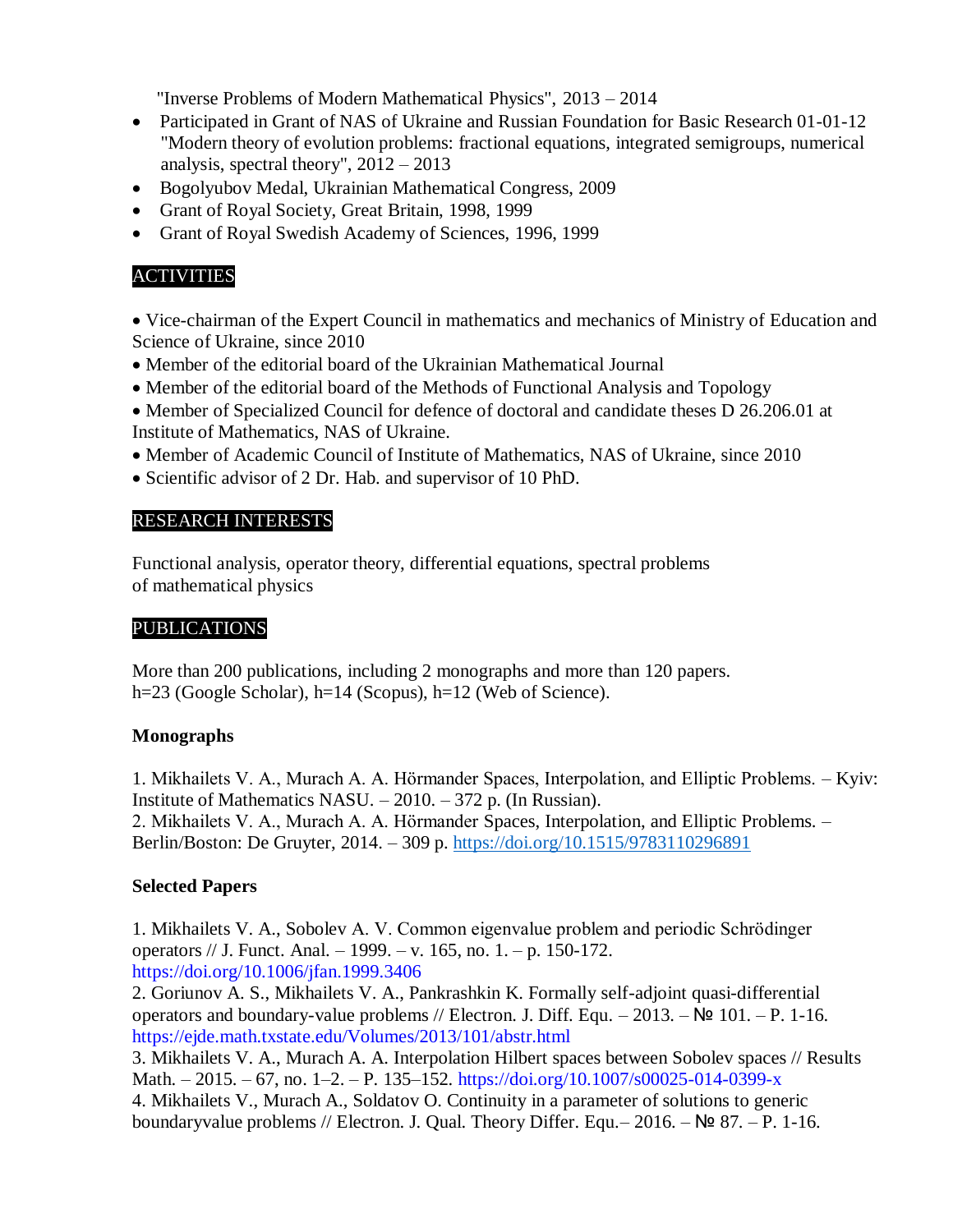"Inverse Problems of Modern Mathematical Physics", 2013 – 2014

- Participated in Grant of NAS of Ukraine and Russian Foundation for Basic Research 01-01-12 "Modern theory of evolution problems: fractional equations, integrated semigroups, numerical analysis, spectral theory", 2012 – 2013
- Bogolyubov Medal, Ukrainian Mathematical Congress, 2009
- Grant of Royal Society, Great Britain, 1998, 1999
- Grant of Royal Swedish Academy of Sciences, 1996, 1999

## ACTIVITIES

 Vice-chairman of the Expert Council in mathematics and mechanics of Ministry of Education and Science of Ukraine, since 2010

- Member of the editorial board of the Ukrainian Mathematical Journal
- Member of the editorial board of the Methods of Functional Analysis and Topology
- Member of Specialized Council for defence of doctoral and candidate theses D 26.206.01 at Institute of Mathematics, NAS of Ukraine.
- Member of Academic Council of Institute of Mathematics, NAS of Ukraine, since 2010
- Scientific advisor of 2 Dr. Hab. and supervisor of 10 PhD.

## RESEARCH INTERESTS

Functional analysis, operator theory, differential equations, spectral problems of mathematical physics

## PUBLICATIONS

More than 200 publications, including 2 monographs and more than 120 papers. h=23 (Google Scholar), h=14 (Scopus), h=12 (Web of Science).

## **Monographs**

1. Mikhailets V. A., Murach A. A. Hörmander Spaces, Interpolation, and Elliptic Problems. – Kyiv: Institute of Mathematics NASU. – 2010. – 372 p. (In Russian). 2. Mikhailets V. A., Murach A. A. Hörmander Spaces, Interpolation, and Elliptic Problems. – Berlin/Boston: De Gruyter, 2014. – 309 p.<https://doi.org/10.1515/9783110296891>

## **Selected Papers**

1. Mikhailets V. A., Sobolev A. V. Common eigenvalue problem and periodic Schrödinger operators // J. Funct. Anal. – 1999. – v. 165, no. 1. – p. 150-172. https://doi.org/10.1006/jfan.1999.3406

2. Goriunov A. S., Mikhailets V. A., Pankrashkin K. Formally self-adjoint quasi-differential operators and boundary-value problems // Electron. J. Diff. Equ.  $-2013$ .  $-\mathsf{N}^{\mathsf{D}} 101$ .  $-\mathsf{P}$ . 1-16. https://ejde.math.txstate.edu/Volumes/2013/101/abstr.html

3. Mikhailets V. A., Murach A. A. Interpolation Hilbert spaces between Sobolev spaces // Results Math. – 2015. – 67, no. 1–2. – P. 135–152. https://doi.org/10.1007/s00025-014-0399-x

4. Mikhailets V., Murach A., Soldatov O. Continuity in a parameter of solutions to generic boundaryvalue problems // Electron. J. Qual. Theory Differ. Equ.– 2016. – № 87. – P. 1-16.